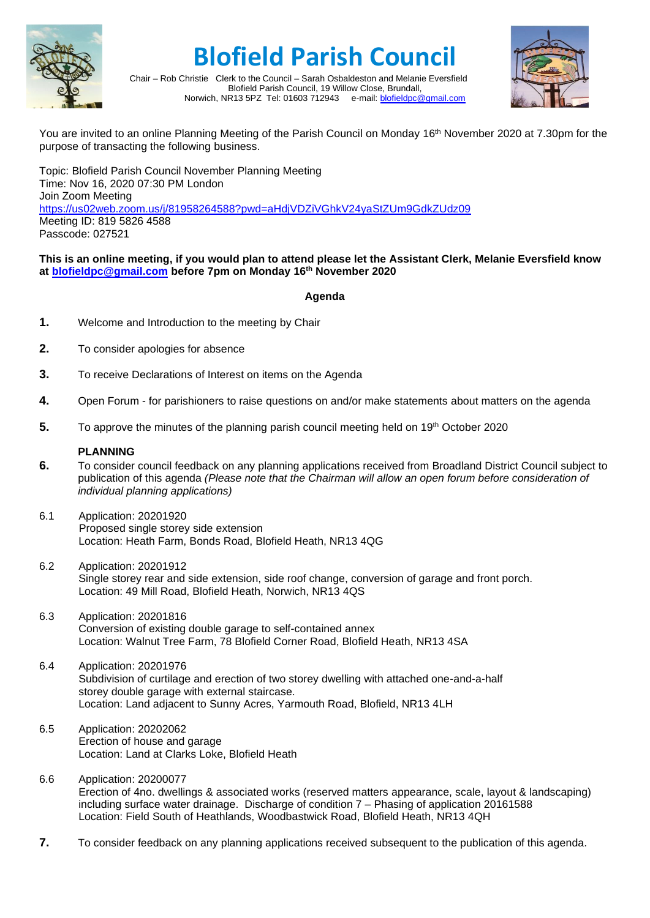

## **Blofield Parish Council**



Chair – Rob Christie Clerk to the Council – Sarah Osbaldeston and Melanie Eversfield Blofield Parish Council, 19 Willow Close, Brundall, Norwich, NR13 5PZ Tel: 01603 712943 e-mail: [blofieldpc@gmail.com](mailto:blofieldpc@gmail.com)

You are invited to an online Planning Meeting of the Parish Council on Monday 16<sup>th</sup> November 2020 at 7.30pm for the purpose of transacting the following business.

Topic: Blofield Parish Council November Planning Meeting Time: Nov 16, 2020 07:30 PM London Join Zoom Meeting <https://us02web.zoom.us/j/81958264588?pwd=aHdjVDZiVGhkV24yaStZUm9GdkZUdz09> Meeting ID: 819 5826 4588 Passcode: 027521

## **This is an online meeting, if you would plan to attend please let the Assistant Clerk, Melanie Eversfield know at [blofieldpc@gmail.com](mailto:blofieldpc@gmail.com) before 7pm on Monday 16th November 2020**

## **Agenda**

- **1.** Welcome and Introduction to the meeting by Chair
- **2.** To consider apologies for absence
- **3.** To receive Declarations of Interest on items on the Agenda
- **4.** Open Forum for parishioners to raise questions on and/or make statements about matters on the agenda
- **5.** To approve the minutes of the planning parish council meeting held on 19<sup>th</sup> October 2020

## **PLANNING**

- **6.** To consider council feedback on any planning applications received from Broadland District Council subject to publication of this agenda *(Please note that the Chairman will allow an open forum before consideration of individual planning applications)*
- 6.1 Application: 20201920 Proposed single storey side extension Location: Heath Farm, Bonds Road, Blofield Heath, NR13 4QG
- 6.2 Application: 20201912 Single storey rear and side extension, side roof change, conversion of garage and front porch. Location: 49 Mill Road, Blofield Heath, Norwich, NR13 4QS
- 6.3 Application: 20201816 Conversion of existing double garage to self-contained annex Location: Walnut Tree Farm, 78 Blofield Corner Road, Blofield Heath, NR13 4SA
- 6.4 Application: 20201976 Subdivision of curtilage and erection of two storey dwelling with attached one-and-a-half storey double garage with external staircase. Location: Land adjacent to Sunny Acres, Yarmouth Road, Blofield, NR13 4LH
- 6.5 Application: 20202062 Erection of house and garage Location: Land at Clarks Loke, Blofield Heath
- 6.6 Application: 20200077 Erection of 4no. dwellings & associated works (reserved matters appearance, scale, layout & landscaping) including surface water drainage. Discharge of condition 7 – Phasing of application 20161588 Location: Field South of Heathlands, Woodbastwick Road, Blofield Heath, NR13 4QH
- **7.** To consider feedback on any planning applications received subsequent to the publication of this agenda.